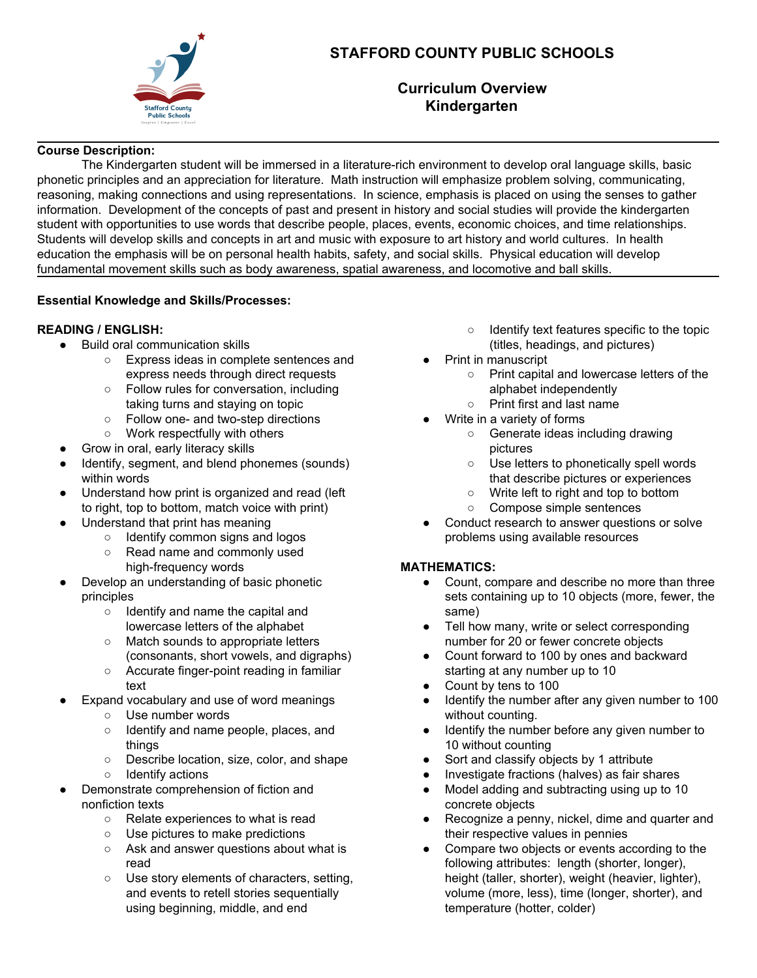

# **STAFFORD COUNTY PUBLIC SCHOOLS**

## **Curriculum Overview Kindergarten**

#### **Course Description:**

The Kindergarten student will be immersed in a literature-rich environment to develop oral language skills, basic phonetic principles and an appreciation for literature. Math instruction will emphasize problem solving, communicating, reasoning, making connections and using representations. In science, emphasis is placed on using the senses to gather information. Development of the concepts of past and present in history and social studies will provide the kindergarten student with opportunities to use words that describe people, places, events, economic choices, and time relationships. Students will develop skills and concepts in art and music with exposure to art history and world cultures. In health education the emphasis will be on personal health habits, safety, and social skills. Physical education will develop fundamental movement skills such as body awareness, spatial awareness, and locomotive and ball skills.

#### **Essential Knowledge and Skills/Processes:**

#### **READING / ENGLISH:**

- Build oral communication skills
	- Express ideas in complete sentences and express needs through direct requests
	- Follow rules for conversation, including taking turns and staying on topic
	- Follow one- and two-step directions
	- Work respectfully with others
- Grow in oral, early literacy skills
- Identify, segment, and blend phonemes (sounds) within words
- Understand how print is organized and read (left to right, top to bottom, match voice with print)
- Understand that print has meaning
	- Identify common signs and logos
	- Read name and commonly used high-frequency words
- Develop an understanding of basic phonetic principles
	- Identify and name the capital and lowercase letters of the alphabet
	- Match sounds to appropriate letters (consonants, short vowels, and digraphs)
	- Accurate finger-point reading in familiar text
- Expand vocabulary and use of word meanings
	- Use number words
	- Identify and name people, places, and things
	- Describe location, size, color, and shape ○ Identify actions
- Demonstrate comprehension of fiction and nonfiction texts
	- Relate experiences to what is read
	- Use pictures to make predictions
	- Ask and answer questions about what is read
	- Use story elements of characters, setting, and events to retell stories sequentially using beginning, middle, and end
- Identify text features specific to the topic (titles, headings, and pictures)
- Print in manuscript
	- Print capital and lowercase letters of the alphabet independently
	- Print first and last name
- Write in a variety of forms
	- Generate ideas including drawing pictures
	- Use letters to phonetically spell words that describe pictures or experiences
	- Write left to right and top to bottom
	- Compose simple sentences
- Conduct research to answer questions or solve problems using available resources

## **MATHEMATICS:**

- Count, compare and describe no more than three sets containing up to 10 objects (more, fewer, the same)
- Tell how many, write or select corresponding number for 20 or fewer concrete objects
- Count forward to 100 by ones and backward starting at any number up to 10
- Count by tens to 100
- Identify the number after any given number to 100 without counting.
- Identify the number before any given number to 10 without counting
- Sort and classify objects by 1 attribute
- Investigate fractions (halves) as fair shares
- Model adding and subtracting using up to 10 concrete objects
- Recognize a penny, nickel, dime and quarter and their respective values in pennies
- Compare two objects or events according to the following attributes: length (shorter, longer), height (taller, shorter), weight (heavier, lighter), volume (more, less), time (longer, shorter), and temperature (hotter, colder)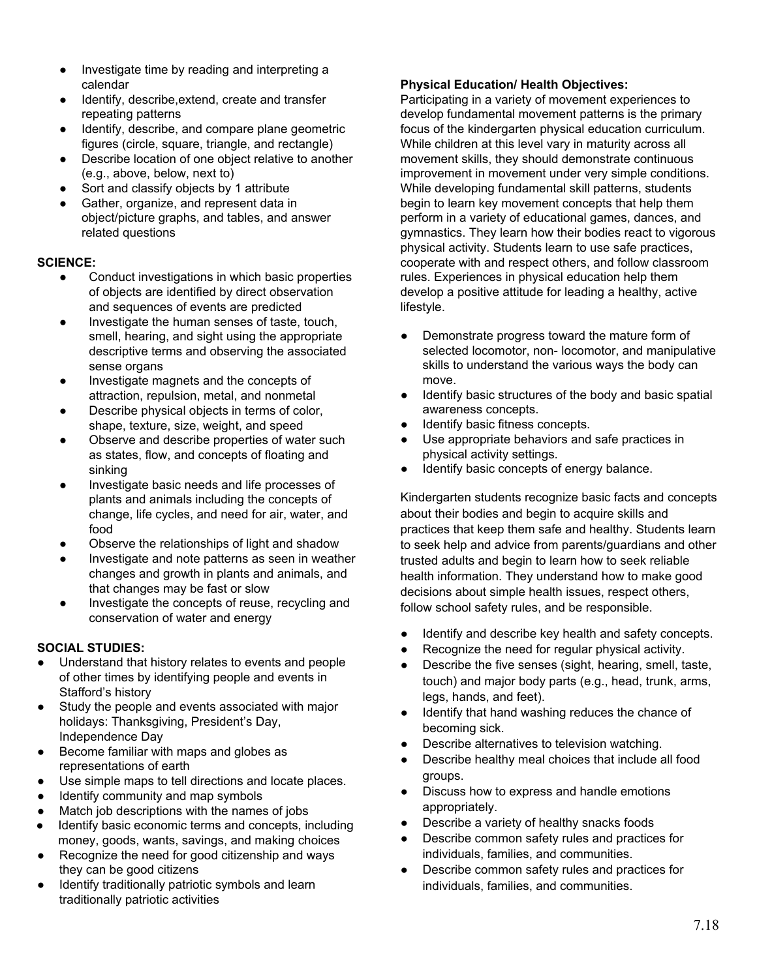- Investigate time by reading and interpreting a calendar
- Identify, describe,extend, create and transfer repeating patterns
- Identify, describe, and compare plane geometric figures (circle, square, triangle, and rectangle)
- Describe location of one object relative to another (e.g., above, below, next to)
- Sort and classify objects by 1 attribute
- Gather, organize, and represent data in object/picture graphs, and tables, and answer related questions

#### **SCIENCE:**

- Conduct investigations in which basic properties of objects are identified by direct observation and sequences of events are predicted
- Investigate the human senses of taste, touch, smell, hearing, and sight using the appropriate descriptive terms and observing the associated sense organs
- Investigate magnets and the concepts of attraction, repulsion, metal, and nonmetal
- Describe physical objects in terms of color, shape, texture, size, weight, and speed
- Observe and describe properties of water such as states, flow, and concepts of floating and sinking
- Investigate basic needs and life processes of plants and animals including the concepts of change, life cycles, and need for air, water, and food
- Observe the relationships of light and shadow
- Investigate and note patterns as seen in weather changes and growth in plants and animals, and that changes may be fast or slow
- Investigate the concepts of reuse, recycling and conservation of water and energy

## **SOCIAL STUDIES:**

- Understand that history relates to events and people of other times by identifying people and events in Stafford's history
- Study the people and events associated with major holidays: Thanksgiving, President's Day, Independence Day
- Become familiar with maps and globes as representations of earth
- Use simple maps to tell directions and locate places.
- Identify community and map symbols
- Match job descriptions with the names of jobs
- Identify basic economic terms and concepts, including money, goods, wants, savings, and making choices
- Recognize the need for good citizenship and ways they can be good citizens
- Identify traditionally patriotic symbols and learn traditionally patriotic activities

### **Physical Education/ Health Objectives:**

Participating in a variety of movement experiences to develop fundamental movement patterns is the primary focus of the kindergarten physical education curriculum. While children at this level vary in maturity across all movement skills, they should demonstrate continuous improvement in movement under very simple conditions. While developing fundamental skill patterns, students begin to learn key movement concepts that help them perform in a variety of educational games, dances, and gymnastics. They learn how their bodies react to vigorous physical activity. Students learn to use safe practices, cooperate with and respect others, and follow classroom rules. Experiences in physical education help them develop a positive attitude for leading a healthy, active lifestyle.

- Demonstrate progress toward the mature form of selected locomotor, non- locomotor, and manipulative skills to understand the various ways the body can move.
- **●** Identify basic structures of the body and basic spatial awareness concepts.
- Identify basic fitness concepts.
- Use appropriate behaviors and safe practices in physical activity settings.
- Identify basic concepts of energy balance.

Kindergarten students recognize basic facts and concepts about their bodies and begin to acquire skills and practices that keep them safe and healthy. Students learn to seek help and advice from parents/guardians and other trusted adults and begin to learn how to seek reliable health information. They understand how to make good decisions about simple health issues, respect others, follow school safety rules, and be responsible.

- Identify and describe key health and safety concepts.
- Recognize the need for regular physical activity.
- Describe the five senses (sight, hearing, smell, taste, touch) and major body parts (e.g., head, trunk, arms, legs, hands, and feet).
- Identify that hand washing reduces the chance of becoming sick.
- Describe alternatives to television watching.
- Describe healthy meal choices that include all food groups.
- Discuss how to express and handle emotions appropriately.
- Describe a variety of healthy snacks foods
- Describe common safety rules and practices for individuals, families, and communities.
- Describe common safety rules and practices for individuals, families, and communities.